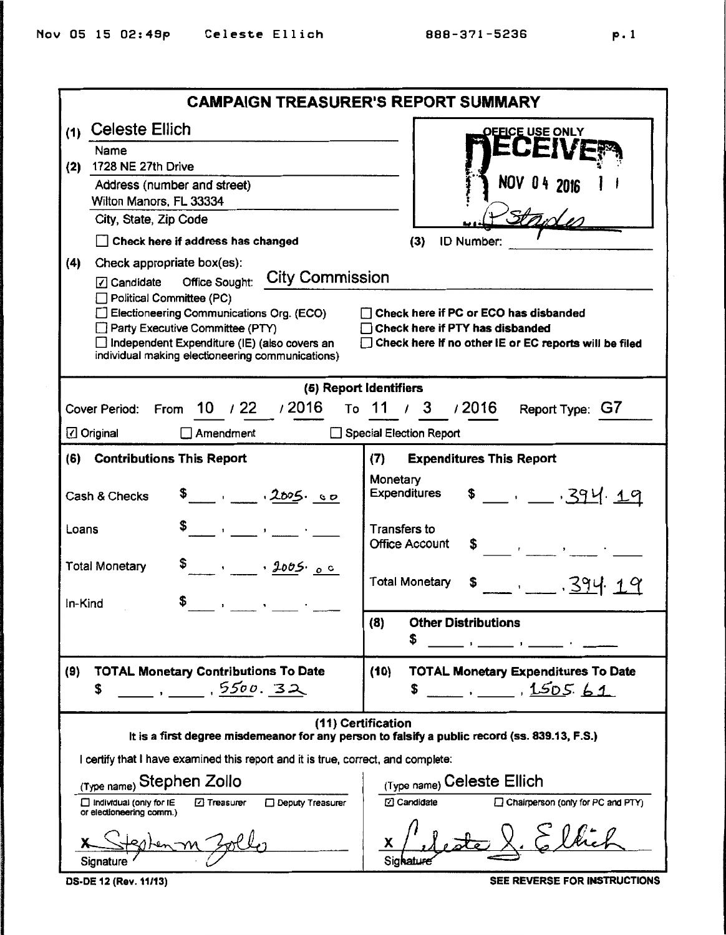| <b>CAMPAIGN TREASURER'S REPORT SUMMARY</b>                                                                                                                                                                                                                                                                                                                                                   |                                                                                                                                |  |  |  |  |  |
|----------------------------------------------------------------------------------------------------------------------------------------------------------------------------------------------------------------------------------------------------------------------------------------------------------------------------------------------------------------------------------------------|--------------------------------------------------------------------------------------------------------------------------------|--|--|--|--|--|
| <b>Celeste Ellich</b><br>(1)                                                                                                                                                                                                                                                                                                                                                                 | <u>OEFICE USE ONLY</u>                                                                                                         |  |  |  |  |  |
| Name                                                                                                                                                                                                                                                                                                                                                                                         |                                                                                                                                |  |  |  |  |  |
| 1728 NE 27th Drive<br>(2)<br>Address (number and street)                                                                                                                                                                                                                                                                                                                                     |                                                                                                                                |  |  |  |  |  |
| Wilton Manors, FL 33334                                                                                                                                                                                                                                                                                                                                                                      |                                                                                                                                |  |  |  |  |  |
| City, State, Zip Code                                                                                                                                                                                                                                                                                                                                                                        |                                                                                                                                |  |  |  |  |  |
| Check here if address has changed                                                                                                                                                                                                                                                                                                                                                            | ID Number:<br>(3)                                                                                                              |  |  |  |  |  |
| (4)<br>Check appropriate box(es):<br>Political Committee (PC)<br>Check here if PC or ECO has disbanded<br>$\Box$ Electioneering Communications Org. (ECO)<br>Check here if PTY has disbanded<br>Party Executive Committee (PTY)<br>Independent Expenditure (IE) (also covers an<br>Check here if no other IE or EC reports will be filed<br>individual making electioneering communications) |                                                                                                                                |  |  |  |  |  |
|                                                                                                                                                                                                                                                                                                                                                                                              | (5) Report Identifiers                                                                                                         |  |  |  |  |  |
| $10$ $/22$ $/2016$<br>Cover Period:<br>From                                                                                                                                                                                                                                                                                                                                                  | To 11 / 3 /2016<br>Report Type: G7                                                                                             |  |  |  |  |  |
| $\Box$ Amendment<br>☑ Original                                                                                                                                                                                                                                                                                                                                                               | Special Election Report                                                                                                        |  |  |  |  |  |
| <b>Contributions This Report</b><br>(6)                                                                                                                                                                                                                                                                                                                                                      | <b>Expenditures This Report</b><br>(7)                                                                                         |  |  |  |  |  |
| Monetary<br>$= -394.19$<br>Expenditures<br>$\frac{2005}{1000}$<br>Cash & Checks                                                                                                                                                                                                                                                                                                              |                                                                                                                                |  |  |  |  |  |
| Loans<br>the contract of the con-                                                                                                                                                                                                                                                                                                                                                            | Transfers to<br><b>Office Account</b><br>$\begin{array}{ccc} \texttt{\$} & & \texttt{\,} & \end{array}$                        |  |  |  |  |  |
| $\frac{1005}{000}$<br><b>Total Monetary</b>                                                                                                                                                                                                                                                                                                                                                  | <b>Total Monetary</b><br>$  394.19$                                                                                            |  |  |  |  |  |
| In-Kind                                                                                                                                                                                                                                                                                                                                                                                      | $\mathcal{A}=\mathcal{A}$ , and $\mathcal{A}=\mathcal{A}$ , and $\mathcal{A}=\mathcal{A}$<br><b>Other Distributions</b><br>(8) |  |  |  |  |  |
|                                                                                                                                                                                                                                                                                                                                                                                              | \$<br><u> 19 - Jan Personal Maria (m. 1920)</u>                                                                                |  |  |  |  |  |
| <b>TOTAL Monetary Contributions To Date</b><br>(9)                                                                                                                                                                                                                                                                                                                                           | <b>TOTAL Monetary Expenditures To Date</b><br>(10)                                                                             |  |  |  |  |  |
| , , 5500.32<br>\$                                                                                                                                                                                                                                                                                                                                                                            | $\frac{150561}{1500}$<br>\$                                                                                                    |  |  |  |  |  |
| (11) Certification<br>It is a first degree misdemeanor for any person to falsify a public record (ss. 839.13, F.S.)                                                                                                                                                                                                                                                                          |                                                                                                                                |  |  |  |  |  |
| I certify that I have examined this report and it is true, correct, and complete:                                                                                                                                                                                                                                                                                                            |                                                                                                                                |  |  |  |  |  |
| (Type name) Stephen Zollo                                                                                                                                                                                                                                                                                                                                                                    | (Type name) Celeste Ellich                                                                                                     |  |  |  |  |  |
| Chairperson (only for PC and PTY)<br>Deputy Treasurer<br>C Candidate<br>Individual (only for IE<br><b>⊡</b> Treasurer<br>or electioneering comm.)                                                                                                                                                                                                                                            |                                                                                                                                |  |  |  |  |  |
| Signatur                                                                                                                                                                                                                                                                                                                                                                                     |                                                                                                                                |  |  |  |  |  |

DS·DE 12 (Rev. 11/13)

SEE REVERSE FOR INSTRUCTIONS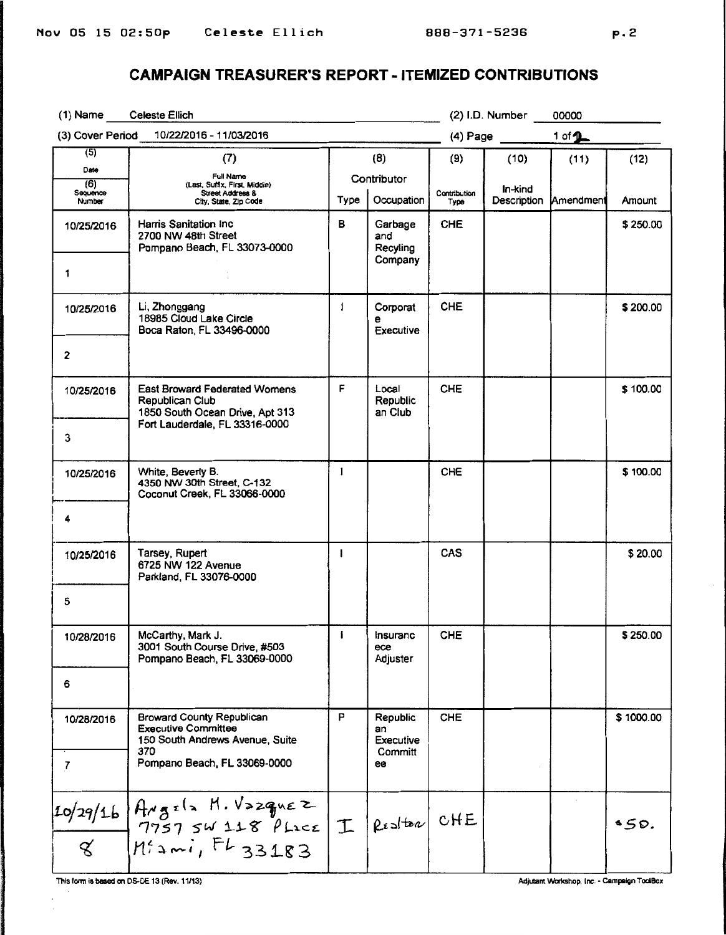## **CAMPAIGN TREASURER'S REPORT- ITEMIZED CONTRIBUTIONS**

| Celeste Ellich<br>$(1)$ Name                                                              |                                                                                                   |      |                                             | (2) I.D. Number<br>00000 |                                   |      |           |
|-------------------------------------------------------------------------------------------|---------------------------------------------------------------------------------------------------|------|---------------------------------------------|--------------------------|-----------------------------------|------|-----------|
| 10/22/2016 - 11/03/2016<br>(3) Cover Period                                               |                                                                                                   |      | 1 of $\underline{\mathbf{1}}$<br>$(4)$ Page |                          |                                   |      |           |
| (5)                                                                                       | (7)                                                                                               |      | (8)                                         | (9)                      | (10)                              | (11) | (12)      |
| Date<br>(6)<br>Sequence<br>Number                                                         | Full Name<br>(Last, Suffix, First, Middie)<br>Street Address &<br>City, State, Zip Code           | Type | Contributor<br>Occupation                   | Contribution<br>Type     | In-kind<br>Description [Amendment |      | Amount    |
| 10/25/2016                                                                                | Harris Sanitation Inc<br>2700 NW 48th Street<br>Pompano Beach, FL 33073-0000                      | в    | Garbage<br>and<br>Recyling                  | <b>CHE</b>               |                                   |      | \$250.00  |
| 1                                                                                         |                                                                                                   |      | Company                                     |                          |                                   |      |           |
| 10/25/2016                                                                                | Li, Zhonggang<br>18985 Cloud Lake Circle<br>Boca Raton, FL 33496-0000                             | 1    | Corporat<br>е<br>Executive                  | <b>CHE</b>               |                                   |      | \$200.00  |
| 2                                                                                         |                                                                                                   |      |                                             |                          |                                   |      |           |
| 10/25/2016                                                                                | <b>East Broward Federated Womens</b><br>Republican Club<br>1850 South Ocean Drive, Apt 313        | F    | Local<br>Republic<br>an Club                | <b>CHE</b>               |                                   |      | \$100.00  |
| 3                                                                                         | Fort Lauderdale, FL 33316-0000                                                                    |      |                                             |                          |                                   |      |           |
| 10/25/2016                                                                                | White, Beverly B.<br>4350 NW 30th Street, C-132<br>Coconut Creek, FL 33066-0000                   | 1    |                                             | CHE                      |                                   |      | \$100.00  |
| 4                                                                                         |                                                                                                   |      |                                             |                          |                                   |      |           |
| 10/25/2016                                                                                | Tarsey, Rupert<br>6725 NW 122 Avenue<br>Parkland, FL 33076-0000                                   | ı    |                                             | <b>CAS</b>               |                                   |      | \$20.00   |
| 5                                                                                         |                                                                                                   |      |                                             |                          |                                   |      |           |
| 10/28/2016                                                                                | McCarthy, Mark J.<br>3001 South Course Drive, #503<br>Pompano Beach, FL 33069-0000                | f    | Insuranc<br>ece<br>Adjuster                 | <b>CHE</b>               |                                   |      | \$250.00  |
| 6                                                                                         |                                                                                                   |      |                                             |                          |                                   |      |           |
| 10/28/2016                                                                                | <b>Broward County Republican</b><br><b>Executive Committee</b><br>150 South Andrews Avenue, Suite | P    | Republic<br>an<br>Executive                 | <b>CHE</b>               |                                   |      | \$1000.00 |
| $\overline{7}$                                                                            | 370<br>Pompano Beach, FL 33069-0000                                                               |      | Committ<br>ee                               |                          |                                   |      |           |
|                                                                                           | $\frac{10/29/16}{8}$ Angría M. Vazquez<br>7757 54118 Place I Restau CHE<br>8 Míani, FL 33183      |      |                                             |                          |                                   |      | \$50.     |
|                                                                                           |                                                                                                   |      |                                             |                          |                                   |      |           |
| Adjutant Workshop, Inc. - Campaign ToolBox<br>This form is based on DS-DE 13 (Rev. 11/13) |                                                                                                   |      |                                             |                          |                                   |      |           |

*CONTRACTOR IN THE REPORT OF A STATE OF A STATE OF A STATE OF A STATE OF A STATE OF A STATE OF A STATE OF A STATE*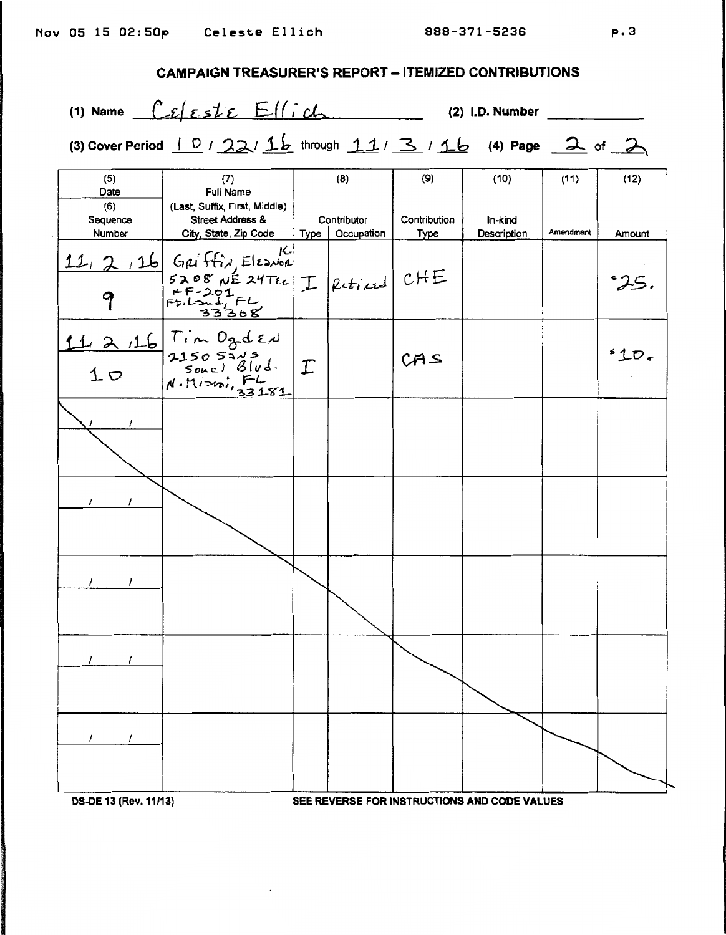$p.3$ 

| <b>CAMPAIGN TREASURER'S REPORT - ITEMIZED CONTRIBUTIONS</b> |  |
|-------------------------------------------------------------|--|
|-------------------------------------------------------------|--|

(1) Name 
$$
\int \mathcal{L} f \mathbf{z} dt
$$

 $E//int$  (2) I.D. Number

(3) Cover Period 10/22/16 through 11/3/16 (4) Page 2 of 2

| (5)         | (7)                                                                                                                                                                                                       |      | (8)         | (9)          | (10)        | (11)      | (12)        |
|-------------|-----------------------------------------------------------------------------------------------------------------------------------------------------------------------------------------------------------|------|-------------|--------------|-------------|-----------|-------------|
| Date<br>(6) | <b>Full Name</b><br>(Last, Suffix, First, Middle)                                                                                                                                                         |      |             |              |             |           |             |
| Sequence    | <b>Street Address &amp;</b>                                                                                                                                                                               |      | Contributor | Contribution | In-kind     |           |             |
| Number      | City, State, Zip Code                                                                                                                                                                                     | Type | Occupation  | <b>Type</b>  | Description | Amendment | Amount      |
|             | 11, 2, 16 Gaiffin Elemon K.<br>Saps NE 24TEC I Retired CHE<br>9 FELMIFL 33308                                                                                                                             |      |             |              |             |           | 25          |
|             | $\begin{array}{ l l l l l }\n\hline\n & 1 & 2 & 16 & \text{Time} & \text{Og} & \text{Edd} \\ \hline\n10 & 21505345 & & & \\ \hline\n10 & 5000156 & & & \\ \hline\nM.M.33151 & & & \\ \hline\n\end{array}$ |      |             | CAS          |             |           | $1D_{\tau}$ |
|             |                                                                                                                                                                                                           |      |             |              |             |           |             |
|             |                                                                                                                                                                                                           |      |             |              |             |           |             |
|             |                                                                                                                                                                                                           |      |             |              |             |           |             |
|             |                                                                                                                                                                                                           |      |             |              |             |           |             |
|             |                                                                                                                                                                                                           |      |             |              |             |           |             |

**DS-DE 13 (Rev. 11/13)** 

SEE REVERSE FOR INSTRUCTIONS AND CODE VALUES